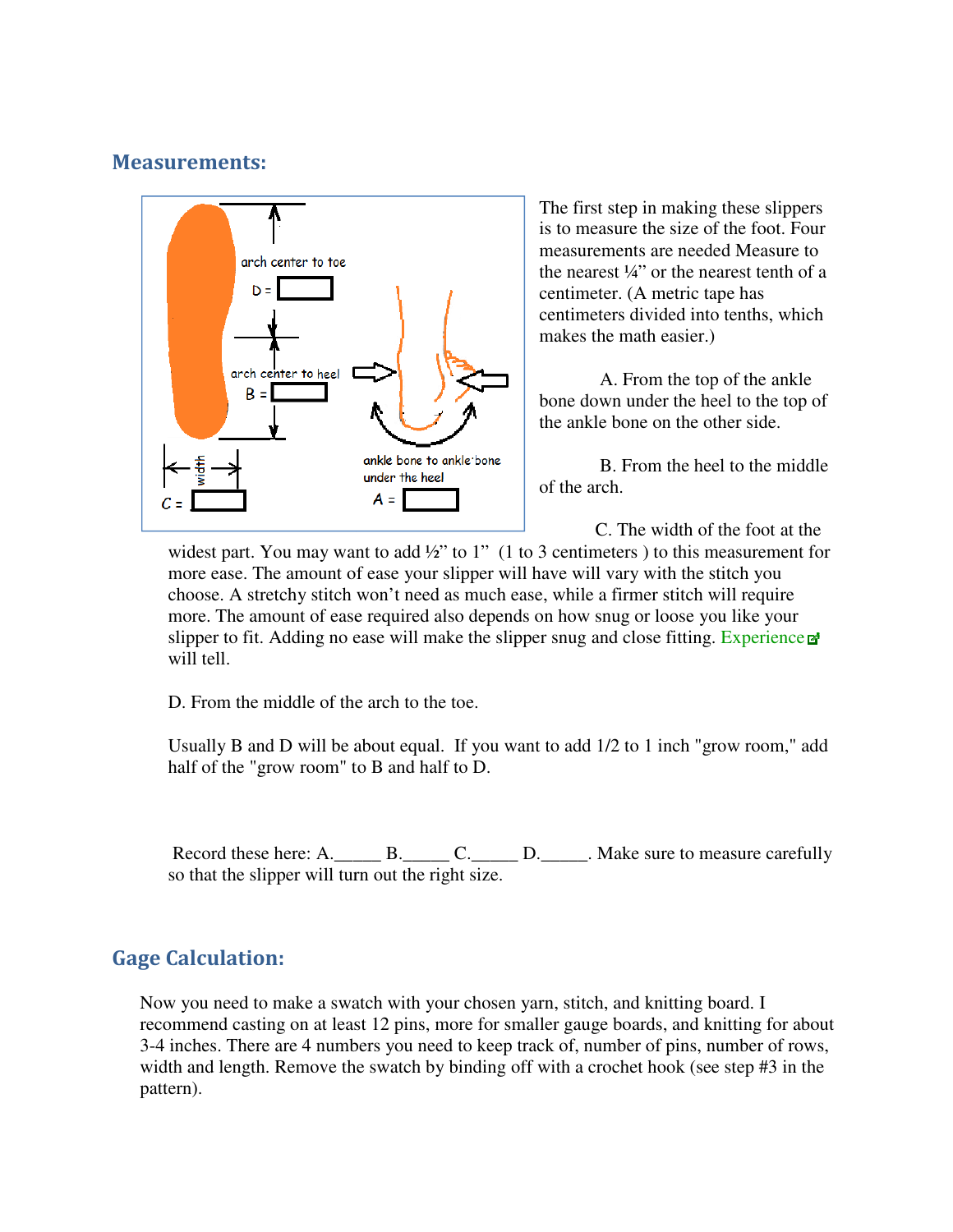## Measurements:



The first step in making these slippers is to measure the size of the foot. measurements are needed Measure to the nearest  $\frac{1}{4}$ " or the nearest tenth of a centimeter. (A metric tape has centimeters divided into tenths, which makes the math easier.) centimeter. (A metric tapentimeters divided into<br>makes the math easier.)

 A. From the top of the ankle bone down under the heel to the top of the ankle bone on the other side. A. From the top of the ankle<br>bone down under the heel to the top of<br>the ankle bone on the other side.<br>B. From the heel to the middle

 B. From the heel to the midd of the arch.

C. The width of the foot at the

widest part. You may want to add  $\frac{1}{2}$  to 1" (1 to 3 centimeters ) to this measurement for more ease. The amount of ease your slipper will have will vary with the stitch you more ease. The amount of ease your slipper will have will vary with the stitch you<br>choose. A stretchy stitch won't need as much ease, while a firmer stitch will require more. The amount of ease required also depends on how snug or loose you like your slipper to fit. Adding no ease will make the slipper snug and close fitting. will tell. required also depends on how snug or loose you like your<br>se will make the slipper snug and close fitting. Experience<br>arch to the toe. C. The width of the foot at t<br> $\frac{1}{2}$  to 1" (1 to 3 centimeters ) to this measurement<br>ur slipper will have will vary with the stitch you<br>ed as much ease, while a firmer stitch will require<br>d also depends on how snug or

D. From the middle of the arch to the toe.

Usually B and D will be about equal. If you want to add 1/2 to 1 inch "grow room," add half of the "grow room" to B and half to D.

Record these here: A.\_\_\_\_\_\_ B.\_\_\_\_\_\_ C.\_\_\_\_\_\_ D.\_\_\_\_\_. Make sure to measure carefully so that the slipper will turn out the right size. to B you your on pins, more for smaller gauge boards, and knitting for about

## Gage Calculation:

Now you need to make a swatch with your chosen yarn, stitch, and knitting board. I recommend casting on at least 12 pins, more for smaller gauge boards, and 1<br>3-4 inches. There are 4 numbers you need to keep track of, number of pins, 3-4 inches. There are 4 numbers you need to keep track of, number of pins, number of rows, width and length. Remove the swatch by binding off with a crochet hook (see step #3 in the pattern).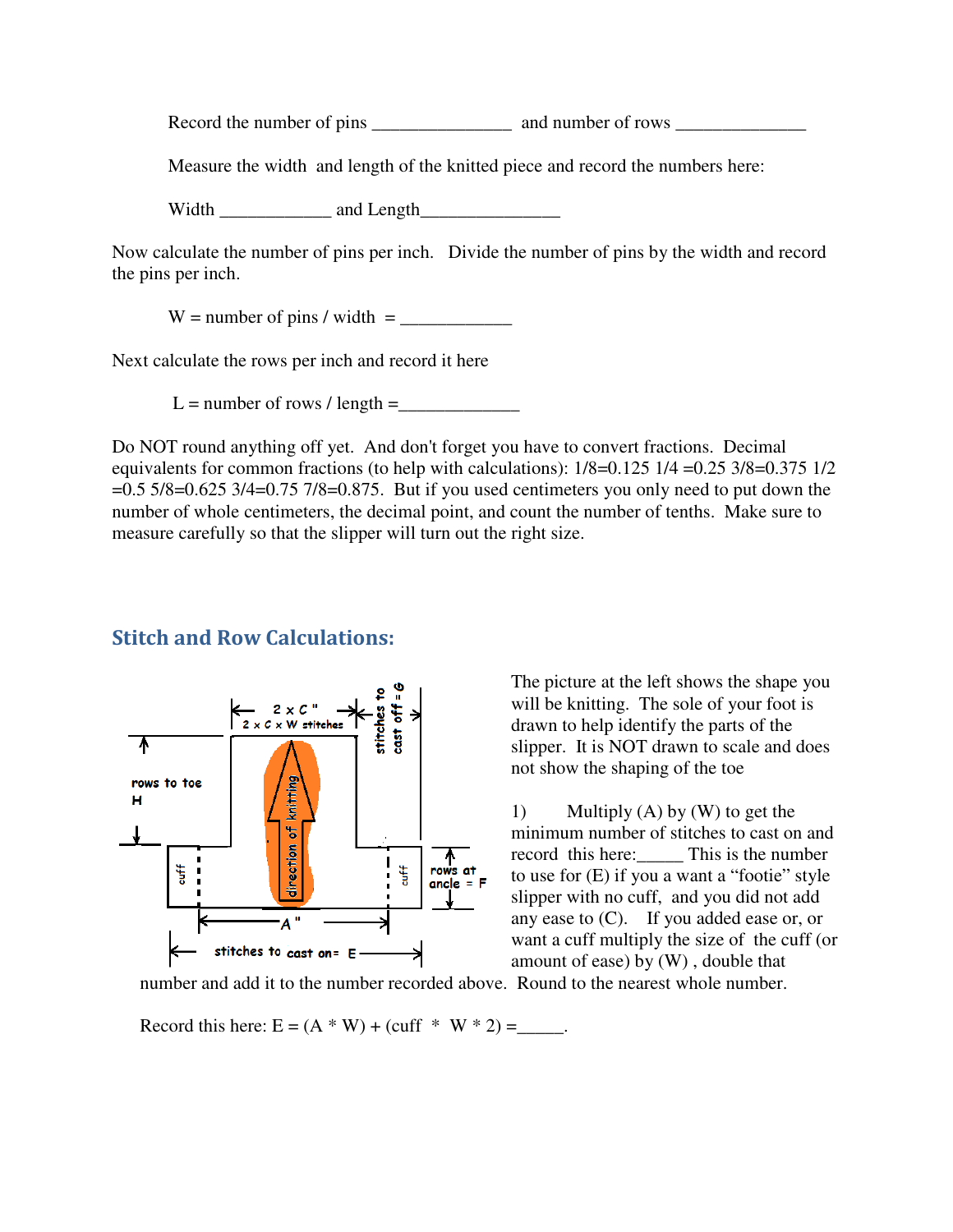Record the number of pins \_\_\_\_\_\_\_\_\_\_\_\_\_\_\_ and number of rows \_\_\_\_\_\_\_\_\_\_\_\_\_\_

Measure the width and length of the knitted piece and record the numbers here:

Width and Length

Now calculate the number of pins per inch. Divide the number of pins by the width and record the pins per inch.

W = number of pins / width =

Next calculate the rows per inch and record it here

 $L =$  number of rows / length  $=$ 

Do NOT round anything off yet. And don't forget you have to convert fractions. Decimal equivalents for common fractions (to help with calculations): 1/8=0.125 1/4 =0.25 3/8=0.375 1/2  $=0.55/8=0.6253/4=0.757/8=0.875$ . But if you used centimeters you only need to put down the number of whole centimeters, the decimal point, and count the number of tenths. Make sure to measure carefully so that the slipper will turn out the right size.

## Stitch and Row Calculations:



The picture at the left shows the shape you will be knitting. The sole of your foot is drawn to help identify the parts of the slipper. It is NOT drawn to scale and does not show the shaping of the toe

1) Multiply (A) by (W) to get the minimum number of stitches to cast on and record this here:\_\_\_\_\_ This is the number to use for (E) if you a want a "footie" style slipper with no cuff, and you did not add any ease to (C). If you added ease or, or want a cuff multiply the size of the cuff (or amount of ease) by (W) , double that

number and add it to the number recorded above. Round to the nearest whole number.

Record this here:  $E = (A * W) + (Cuff * W * 2) =$ \_\_\_\_\_.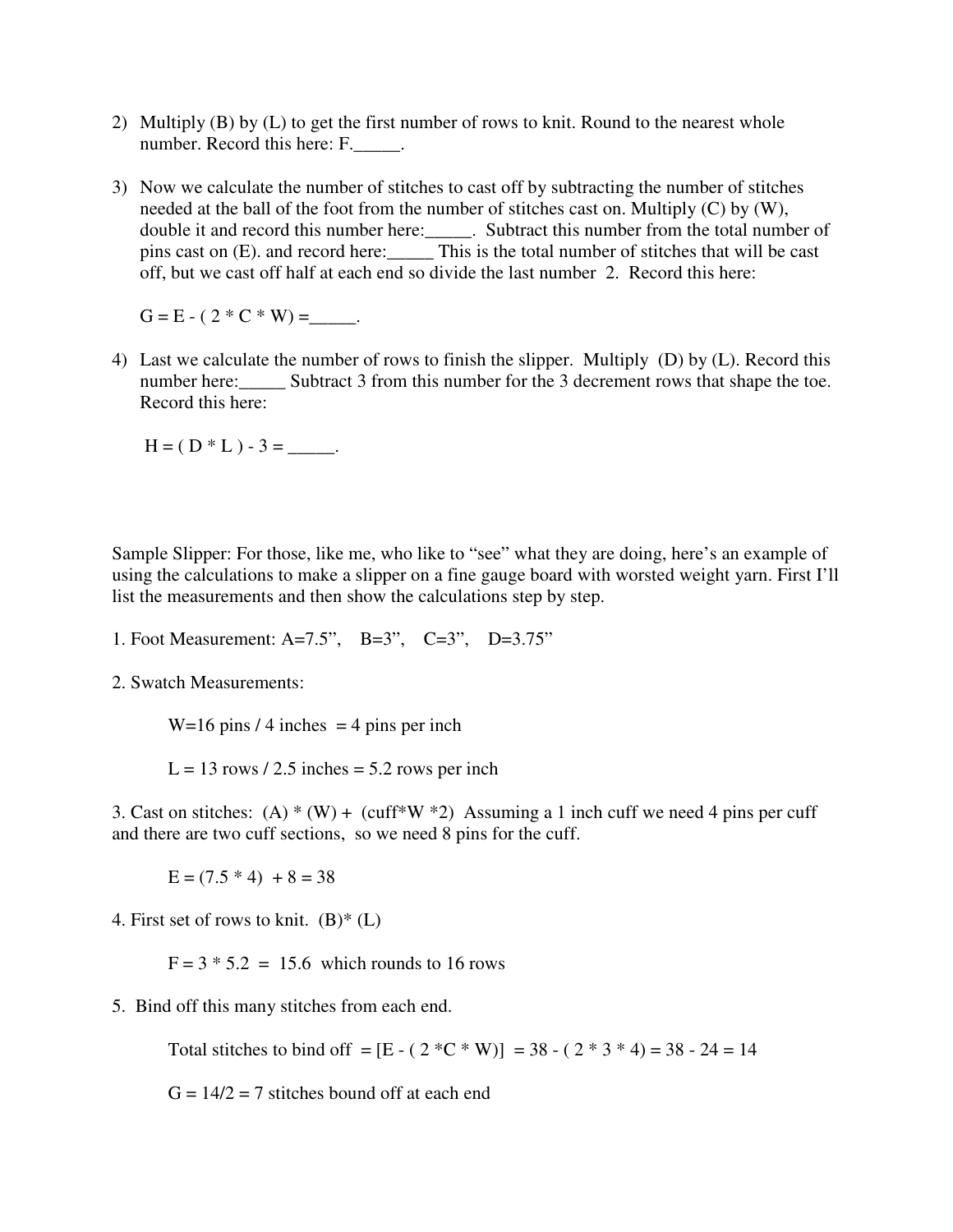- 2) Multiply (B) by (L) to get the first number of rows to knit. Round to the nearest whole number. Record this here: F.
- 3) Now we calculate the number of stitches to cast off by subtracting the number of stitches needed at the ball of the foot from the number of stitches cast on. Multiply  $(C)$  by  $(W)$ , double it and record this number here:\_\_\_\_\_. Subtract this number from the total number of pins cast on (E). and record here:\_\_\_\_\_ This is the total number of stitches that will be cast off, but we cast off half at each end so divide the last number 2. Record this here:

 $G = E - (2 * C * W) =$ 

4) Last we calculate the number of rows to finish the slipper. Multiply (D) by (L). Record this number here: Subtract 3 from this number for the 3 decrement rows that shape the toe. Record this here:

 $H = (D * L) - 3 =$ 

Sample Slipper: For those, like me, who like to "see" what they are doing, here's an example of using the calculations to make a slipper on a fine gauge board with worsted weight yarn. First I'll list the measurements and then show the calculations step by step.

1. Foot Measurement: A=7.5", B=3", C=3", D=3.75"

2. Swatch Measurements:

W=16 pins  $/$  4 inches = 4 pins per inch

 $L = 13$  rows / 2.5 inches = 5.2 rows per inch

3. Cast on stitches:  $(A) * (W) + (cuff*W * 2)$  Assuming a 1 inch cuff we need 4 pins per cuff and there are two cuff sections, so we need 8 pins for the cuff.

 $E = (7.5 * 4) + 8 = 38$ 

4. First set of rows to knit.  $(B)^*(L)$ 

 $F = 3 * 5.2 = 15.6$  which rounds to 16 rows

5. Bind off this many stitches from each end.

Total stitches to bind off =  $[E - (2 \cdot C \cdot W)] = 38 - (2 \cdot 3 \cdot 4) = 38 - 24 = 14$ 

 $G = 14/2 = 7$  stitches bound off at each end